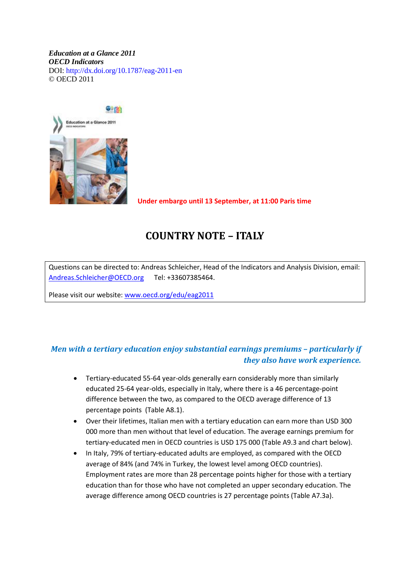#### *Education at a Glance 2011 OECD Indicators*  DOI: http://dx.doi.org/10.1787/eag-2011-en © OECD 2011



 **Under embargo until 13 September, at 11:00 Paris time**

# **COUNTRY NOTE – ITALY**

Questions can be directed to: Andreas Schleicher, Head of the Indicators and Analysis Division, email: [Andreas.Schleicher@OECD.org](mailto:Andreas.Schleicher@OECD.org) Tel: +33607385464.

Please visit our website: [www.oecd.org/edu/eag2011](http://www.oecd.org/edu/eag2011)

#### *Men with a tertiary education enjoy substantial earnings premiums – particularly if they also have work experience.*

- Tertiary-educated 55-64 year-olds generally earn considerably more than similarly educated 25-64 year-olds, especially in Italy, where there is a 46 percentage-point difference between the two, as compared to the OECD average difference of 13 percentage points (Table A8.1).
- Over their lifetimes, Italian men with a tertiary education can earn more than USD 300 000 more than men without that level of education. The average earnings premium for tertiary-educated men in OECD countries is USD 175 000 (Table A9.3 and chart below).
- In Italy, 79% of tertiary-educated adults are employed, as compared with the OECD average of 84% (and 74% in Turkey, the lowest level among OECD countries). Employment rates are more than 28 percentage points higher for those with a tertiary education than for those who have not completed an upper secondary education. The average difference among OECD countries is 27 percentage points (Table A7.3a).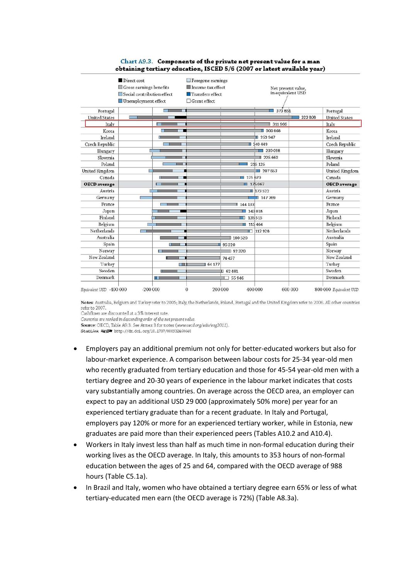|                       | Direct cost                |              | $\Box$ Foregone earnings |                                 |                        |                   |                      |  |
|-----------------------|----------------------------|--------------|--------------------------|---------------------------------|------------------------|-------------------|----------------------|--|
|                       | Gross earnings benefits    |              | Income tax effect        |                                 | Net present value,     |                   |                      |  |
|                       | Social contribution effect |              |                          | $\blacksquare$ Transfers effect |                        | in equivalent USD |                      |  |
|                       | Unemployment effect        |              | $\Box$ Grant effect      |                                 |                        |                   |                      |  |
| Portugal              |                            |              |                          |                                 | 373851                 |                   | Portugal             |  |
| <b>United States</b>  |                            |              |                          |                                 |                        | 323808            | <b>United States</b> |  |
| Italy                 |                            |              |                          |                                 | 311966                 |                   | Italy                |  |
| Korea                 |                            |              |                          |                                 | ■ 300 868              |                   | Korea                |  |
| Ireland               | ш                          |              |                          |                                 | ■ 253 947              |                   | Ireland              |  |
| Czech Republic        |                            |              |                          |                                 | ■ 240 449              |                   | Czech Republic       |  |
| Hungary               |                            |              |                          |                                 | 230 098<br>۰           |                   | Hungary              |  |
| Slovenia              |                            |              |                          |                                 | 1225663                |                   | Slovenia             |  |
| Poland                |                            |              |                          |                                 | 215 125                |                   | Poland               |  |
| <b>United Kingdom</b> | Г                          |              |                          |                                 | 1207653                |                   | United Kingdom       |  |
| Canada                | г                          |              |                          | 175670                          |                        |                   | Canada               |  |
| <b>OECD</b> average   |                            |              |                          | 175067                          |                        |                   | <b>OECD</b> average  |  |
| Austria               |                            |              |                          |                                 | $\blacksquare$ 173 522 |                   | Austria              |  |
| Germany               |                            |              |                          |                                 | ■ 147 769              |                   | Germany              |  |
| France                |                            |              |                          | 144 133                         |                        |                   | France               |  |
| Japan                 |                            |              |                          |                                 | 143 018                |                   | Japan                |  |
| Finland               |                            |              |                          | n                               | 135 515                |                   | Finland              |  |
| Belgium               |                            |              |                          | 115464                          |                        |                   | Belgium              |  |
| Netherlands           | <b>Contract</b>            |              |                          |                                 | $\Box$ 112 928         |                   | Netherlands          |  |
| Australia             |                            |              |                          | 100520                          |                        |                   | Australia            |  |
| Spain                 |                            | <b>H</b>     |                          | 95320                           |                        |                   | Spain                |  |
| Norway                | п.                         |              |                          | ■ 92320                         |                        |                   | Norway               |  |
| New Zealand           |                            |              |                          | 74 457                          |                        |                   | New Zealand          |  |
| Turkey                |                            | <b>HELL</b>  | 64177                    |                                 |                        |                   | Turkey               |  |
| Sweden                |                            | $\mathbf{r}$ |                          | 162481                          |                        |                   | Sweden               |  |
| Denmark               | Œ                          |              |                          | 55946                           |                        |                   | Denmark              |  |

#### Chart A9.3. Components of the private net present value for a man obtaining tertiary education, ISCED 5/6 (2007 or latest available year)

Notes: Australia, Belgium and Turkey refer to 2005; Italy, the Netherlands, Poland, Portugal and the United Kingdom refer to 2006. All other countries refer to 2007.

Cashflows are discounted at a 3% interest rate.

Countries are ranked in descending order of the net present value.

Source: OECD, Table A9.3. See Annex 3 for notes (www.oecd.org/edu/eag2011).

StatLink #19 http://dx.doi.org/10.1787/888932460648

- Employers pay an additional premium not only for better-educated workers but also for labour-market experience. A comparison between labour costs for 25-34 year-old men who recently graduated from tertiary education and those for 45-54 year-old men with a tertiary degree and 20-30 years of experience in the labour market indicates that costs vary substantially among countries. On average across the OECD area, an employer can expect to pay an additional USD 29 000 (approximately 50% more) per year for an experienced tertiary graduate than for a recent graduate. In Italy and Portugal, employers pay 120% or more for an experienced tertiary worker, while in Estonia, new graduates are paid more than their experienced peers (Tables A10.2 and A10.4).
- Workers in Italy invest less than half as much time in non-formal education during their working lives as the OECD average. In Italy, this amounts to 353 hours of non-formal education between the ages of 25 and 64, compared with the OECD average of 988 hours (Table C5.1a).
- In Brazil and Italy, women who have obtained a tertiary degree earn 65% or less of what tertiary-educated men earn (the OECD average is 72%) (Table A8.3a).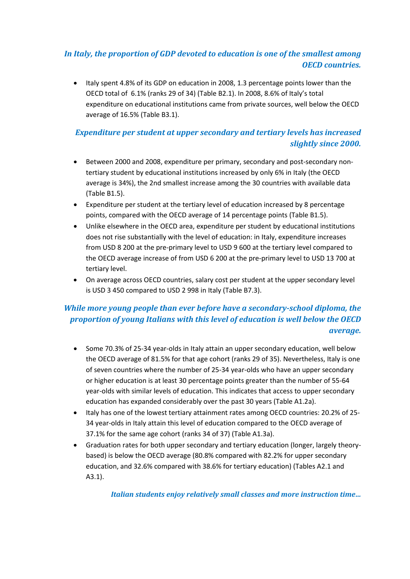#### *In Italy, the proportion of GDP devoted to education is one of the smallest among OECD countries.*

• Italy spent 4.8% of its GDP on education in 2008, 1.3 percentage points lower than the OECD total of 6.1% (ranks 29 of 34) (Table B2.1). In 2008, 8.6% of Italy's total expenditure on educational institutions came from private sources, well below the OECD average of 16.5% (Table B3.1).

#### *Expenditure per student at upper secondary and tertiary levels has increased slightly since 2000.*

- Between 2000 and 2008, expenditure per primary, secondary and post-secondary nontertiary student by educational institutions increased by only 6% in Italy (the OECD average is 34%), the 2nd smallest increase among the 30 countries with available data (Table B1.5).
- Expenditure per student at the tertiary level of education increased by 8 percentage points, compared with the OECD average of 14 percentage points (Table B1.5).
- Unlike elsewhere in the OECD area, expenditure per student by educational institutions does not rise substantially with the level of education: in Italy, expenditure increases from USD 8 200 at the pre-primary level to USD 9 600 at the tertiary level compared to the OECD average increase of from USD 6 200 at the pre-primary level to USD 13 700 at tertiary level.
- On average across OECD countries, salary cost per student at the upper secondary level is USD 3 450 compared to USD 2 998 in Italy (Table B7.3).

#### *While more young people than ever before have a secondary-school diploma, the proportion of young Italians with this level of education is well below the OECD average.*

- Some 70.3% of 25-34 year-olds in Italy attain an upper secondary education, well below the OECD average of 81.5% for that age cohort (ranks 29 of 35). Nevertheless, Italy is one of seven countries where the number of 25-34 year-olds who have an upper secondary or higher education is at least 30 percentage points greater than the number of 55-64 year-olds with similar levels of education. This indicates that access to upper secondary education has expanded considerably over the past 30 years (Table A1.2a).
- Italy has one of the lowest tertiary attainment rates among OECD countries: 20.2% of 25- 34 year-olds in Italy attain this level of education compared to the OECD average of 37.1% for the same age cohort (ranks 34 of 37) (Table A1.3a).
- Graduation rates for both upper secondary and tertiary education (longer, largely theorybased) is below the OECD average (80.8% compared with 82.2% for upper secondary education, and 32.6% compared with 38.6% for tertiary education) (Tables A2.1 and A3.1).

*Italian students enjoy relatively small classes and more instruction time…*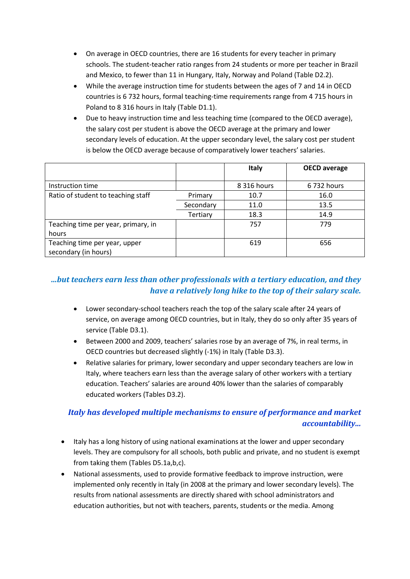- On average in OECD countries, there are 16 students for every teacher in primary schools. The student-teacher ratio ranges from 24 students or more per teacher in Brazil and Mexico, to fewer than 11 in Hungary, Italy, Norway and Poland (Table D2.2).
- While the average instruction time for students between the ages of 7 and 14 in OECD countries is 6 732 hours, formal teaching-time requirements range from 4 715 hours in Poland to 8 316 hours in Italy (Table D1.1).
- Due to heavy instruction time and less teaching time (compared to the OECD average), the salary cost per student is above the OECD average at the primary and lower secondary levels of education. At the upper secondary level, the salary cost per student is below the OECD average because of comparatively lower teachers' salaries.

|                                     |           | <b>Italy</b> | <b>OECD</b> average |
|-------------------------------------|-----------|--------------|---------------------|
|                                     |           |              |                     |
| Instruction time                    |           | 8 316 hours  | 6 732 hours         |
| Ratio of student to teaching staff  | Primary   | 10.7         | 16.0                |
|                                     | Secondary | 11.0         | 13.5                |
|                                     | Tertiary  | 18.3         | 14.9                |
| Teaching time per year, primary, in |           | 757          | 779                 |
| hours                               |           |              |                     |
| Teaching time per year, upper       |           | 619          | 656                 |
| secondary (in hours)                |           |              |                     |

### *…but teachers earn less than other professionals with a tertiary education, and they have a relatively long hike to the top of their salary scale.*

- Lower secondary-school teachers reach the top of the salary scale after 24 years of service, on average among OECD countries, but in Italy, they do so only after 35 years of service (Table D3.1).
- Between 2000 and 2009, teachers' salaries rose by an average of 7%, in real terms, in OECD countries but decreased slightly (-1%) in Italy (Table D3.3).
- Relative salaries for primary, lower secondary and upper secondary teachers are low in Italy, where teachers earn less than the average salary of other workers with a tertiary education. Teachers' salaries are around 40% lower than the salaries of comparably educated workers (Tables D3.2).

## *Italy has developed multiple mechanisms to ensure of performance and market accountability...*

- Italy has a long history of using national examinations at the lower and upper secondary levels. They are compulsory for all schools, both public and private, and no student is exempt from taking them (Tables D5.1a,b,c).
- National assessments, used to provide formative feedback to improve instruction, were implemented only recently in Italy (in 2008 at the primary and lower secondary levels). The results from national assessments are directly shared with school administrators and education authorities, but not with teachers, parents, students or the media. Among